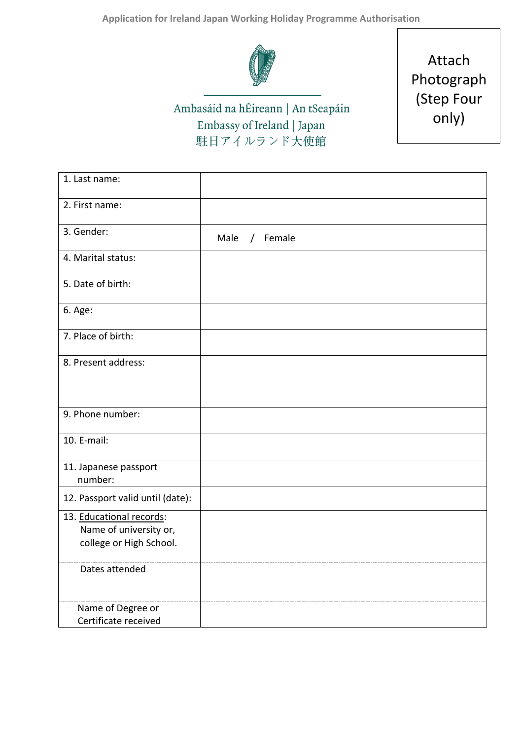

Ambasáid na hÉireann | An tSeapáin Embassy of Ireland | Japan 駐日アイルランド大使館

Attach Photograph (Step Four only)

| 1. Last name:                                                                 |                  |
|-------------------------------------------------------------------------------|------------------|
| 2. First name:                                                                |                  |
| 3. Gender:                                                                    | Male<br>/ Female |
| 4. Marital status:                                                            |                  |
| 5. Date of birth:                                                             |                  |
| 6. Age:                                                                       |                  |
| 7. Place of birth:                                                            |                  |
| 8. Present address:                                                           |                  |
|                                                                               |                  |
| 9. Phone number:                                                              |                  |
| 10. E-mail:                                                                   |                  |
| 11. Japanese passport<br>number:                                              |                  |
| 12. Passport valid until (date):                                              |                  |
| 13. Educational records:<br>Name of university or,<br>college or High School. |                  |
| Dates attended                                                                |                  |
| Name of Degree or<br>Certificate received                                     |                  |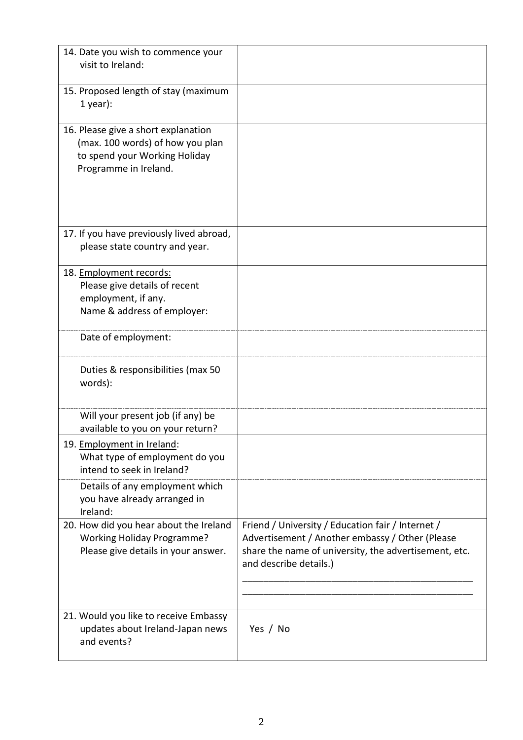| 14. Date you wish to commence your<br>visit to Ireland:                                                                           |                                                                                                                                                                                         |
|-----------------------------------------------------------------------------------------------------------------------------------|-----------------------------------------------------------------------------------------------------------------------------------------------------------------------------------------|
| 15. Proposed length of stay (maximum<br>$1$ year):                                                                                |                                                                                                                                                                                         |
| 16. Please give a short explanation<br>(max. 100 words) of how you plan<br>to spend your Working Holiday<br>Programme in Ireland. |                                                                                                                                                                                         |
| 17. If you have previously lived abroad,<br>please state country and year.                                                        |                                                                                                                                                                                         |
| 18. Employment records:<br>Please give details of recent<br>employment, if any.<br>Name & address of employer:                    |                                                                                                                                                                                         |
| Date of employment:                                                                                                               |                                                                                                                                                                                         |
| Duties & responsibilities (max 50<br>words):                                                                                      |                                                                                                                                                                                         |
| Will your present job (if any) be<br>available to you on your return?                                                             |                                                                                                                                                                                         |
| 19. Employment in Ireland:<br>What type of employment do you<br>intend to seek in Ireland?                                        |                                                                                                                                                                                         |
| Details of any employment which<br>you have already arranged in<br>Ireland:                                                       |                                                                                                                                                                                         |
| 20. How did you hear about the Ireland<br><b>Working Holiday Programme?</b><br>Please give details in your answer.                | Friend / University / Education fair / Internet /<br>Advertisement / Another embassy / Other (Please<br>share the name of university, the advertisement, etc.<br>and describe details.) |
| 21. Would you like to receive Embassy<br>updates about Ireland-Japan news<br>and events?                                          | Yes / No                                                                                                                                                                                |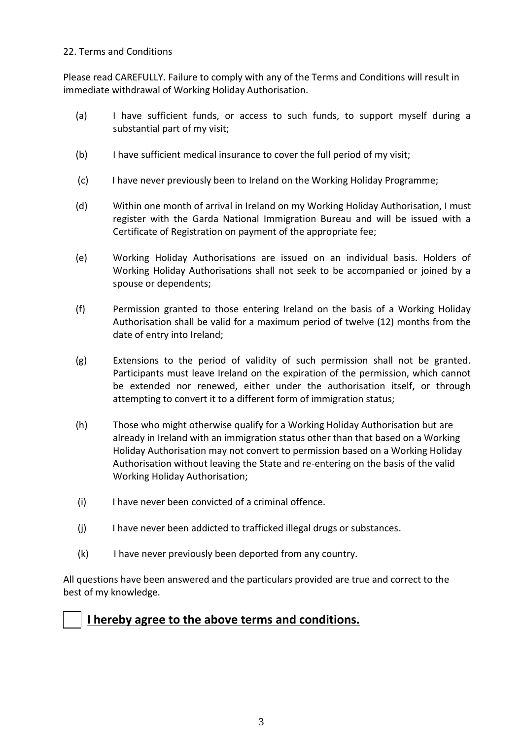## 22. Terms and Conditions

Please read CAREFULLY. Failure to comply with any of the Terms and Conditions will result in immediate withdrawal of Working Holiday Authorisation.

- (a) I have sufficient funds, or access to such funds, to support myself during a substantial part of my visit;
- (b) I have sufficient medical insurance to cover the full period of my visit;
- (c) I have never previously been to Ireland on the Working Holiday Programme;
- (d) Within one month of arrival in Ireland on my Working Holiday Authorisation, I must register with the Garda National Immigration Bureau and will be issued with a Certificate of Registration on payment of the appropriate fee;
- (e) Working Holiday Authorisations are issued on an individual basis. Holders of Working Holiday Authorisations shall not seek to be accompanied or joined by a spouse or dependents;
- (f) Permission granted to those entering Ireland on the basis of a Working Holiday Authorisation shall be valid for a maximum period of twelve (12) months from the date of entry into Ireland;
- (g) Extensions to the period of validity of such permission shall not be granted. Participants must leave Ireland on the expiration of the permission, which cannot be extended nor renewed, either under the authorisation itself, or through attempting to convert it to a different form of immigration status;
- (h) Those who might otherwise qualify for a Working Holiday Authorisation but are already in Ireland with an immigration status other than that based on a Working Holiday Authorisation may not convert to permission based on a Working Holiday Authorisation without leaving the State and re-entering on the basis of the valid Working Holiday Authorisation;
- (i) I have never been convicted of a criminal offence.
- (j) I have never been addicted to trafficked illegal drugs or substances.
- (k) I have never previously been deported from any country.

All questions have been answered and the particulars provided are true and correct to the best of my knowledge.

## **I hereby agree to the above terms and conditions.**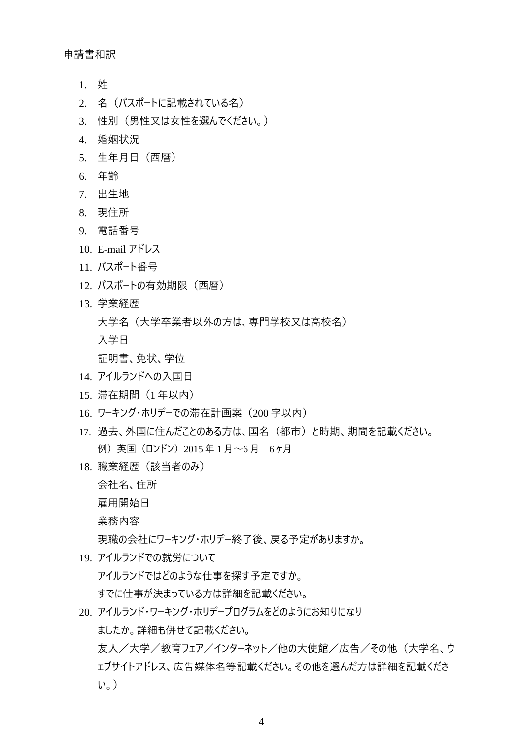申請書和訳

- 1. 姓
- 2. 名(パスポートに記載されている名)
- 3. 性別(男性又は女性を選んでください。)
- 4. 婚姻状況
- 5. 生年月日(西暦)
- 6. 年齢
- 7. 出生地
- 8. 現住所
- 9. 電話番号
- 10. E-mail アドレス
- 11. パスポート番号
- 12. パスポートの有効期限 (西暦)
- 13. 学業経歴

大学名(大学卒業者以外の方は、専門学校又は高校名)

入学日

証明書、免状、学位

- 14. アイルランドへの入国日
- 15. 滞在期間(1 年以内)
- 16. ワーキング・ホリデーでの滞在計画案 (200 字以内)
- 17. 過去、外国に住んだことのある方は、国名(都市)と時期、期間を記載ください。 例) 英国 (ロンドン) 2015 年 1 月~6 月 6ヶ月
- 18. 職業経歴(該当者のみ)

会社名、住所

雇用開始日

業務内容

現職の会社にワーキング・ホリデー終了後、戻る予定がありますか。

- 19. アイルランドでの就労について アイルランドではどのような仕事を探す予定ですか。 すでに仕事が決まっている方は詳細を記載ください。
- 20. アイルランド・ワーキング・ホリデープログラムをどのようにお知りになり ましたか。詳細も併せて記載ください。 友人/大学/教育フェア/インターネット/他の大使館/広告/その他(大学名、ウ ェブサイトアドレス、広告媒体名等記載ください。その他を選んだ方は詳細を記載くださ い。)